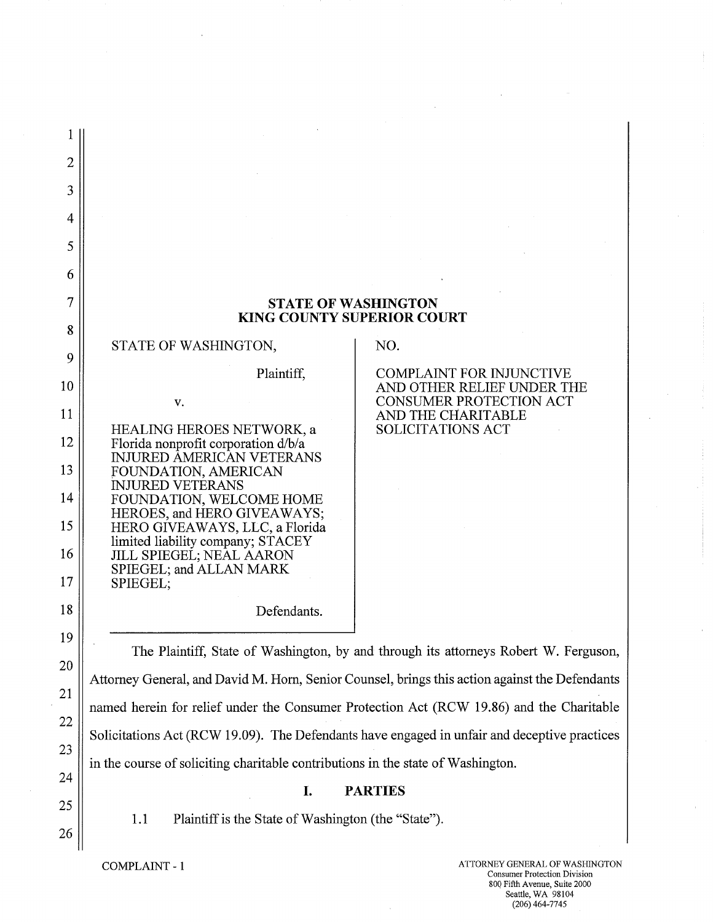| 2        |                                                                                                      |                                                                                              |
|----------|------------------------------------------------------------------------------------------------------|----------------------------------------------------------------------------------------------|
| 3        |                                                                                                      |                                                                                              |
| 4        |                                                                                                      |                                                                                              |
| 5        |                                                                                                      |                                                                                              |
| 6        |                                                                                                      |                                                                                              |
| 7        | <b>STATE OF WASHINGTON</b><br><b>KING COUNTY SUPERIOR COURT</b>                                      |                                                                                              |
| 8<br>9   | STATE OF WASHINGTON,                                                                                 | NO.                                                                                          |
| 10       | Plaintiff,                                                                                           | <b>COMPLAINT FOR INJUNCTIVE</b><br>AND OTHER RELIEF UNDER THE                                |
| 11       | V.                                                                                                   | CONSUMER PROTECTION ACT<br>AND THE CHARITABLE                                                |
| 12       | HEALING HEROES NETWORK, a<br>Florida nonprofit corporation d/b/a<br><b>INJURED AMERICAN VETERANS</b> | <b>SOLICITATIONS ACT</b>                                                                     |
| 13       | FOUNDATION, AMERICAN<br><b>INJURED VETERANS</b>                                                      |                                                                                              |
| 14       | FOUNDATION, WELCOME HOME<br>HEROES, and HERO GIVEAWAYS;                                              |                                                                                              |
| 15       | HERO GIVEAWAYS, LLC, a Florida<br>limited liability company; STACEY                                  |                                                                                              |
| 16<br>17 | <b>JILL SPIEGEL; NEAL AARON</b><br>SPIEGEL; and ALLAN MARK<br>SPIEGEL;                               |                                                                                              |
| 18       | Defendants.                                                                                          |                                                                                              |
| 19       |                                                                                                      |                                                                                              |
| 20       |                                                                                                      | The Plaintiff, State of Washington, by and through its attorneys Robert W. Ferguson,         |
| 21       | Attorney General, and David M. Horn, Senior Counsel, brings this action against the Defendants       |                                                                                              |
| 22       | named herein for relief under the Consumer Protection Act (RCW 19.86) and the Charitable             |                                                                                              |
| 23       |                                                                                                      | Solicitations Act (RCW 19.09). The Defendants have engaged in unfair and deceptive practices |
| 24       | in the course of soliciting charitable contributions in the state of Washington.                     |                                                                                              |
| 25       | I.                                                                                                   | <b>PARTIES</b>                                                                               |
| 26       | Plaintiff is the State of Washington (the "State").<br>1.1                                           |                                                                                              |

 $\ddot{\phantom{1}}$ 

COMPLAINT - 1 ATTORNEY GENERAL OF WASHINGTON<br>Consumer Protection Division 800 Fifth Avenue, Suite 2000 Seattle, WA 98104 (206)464-7745

 $\bar{z}$ 

 $\sim$   $\sim$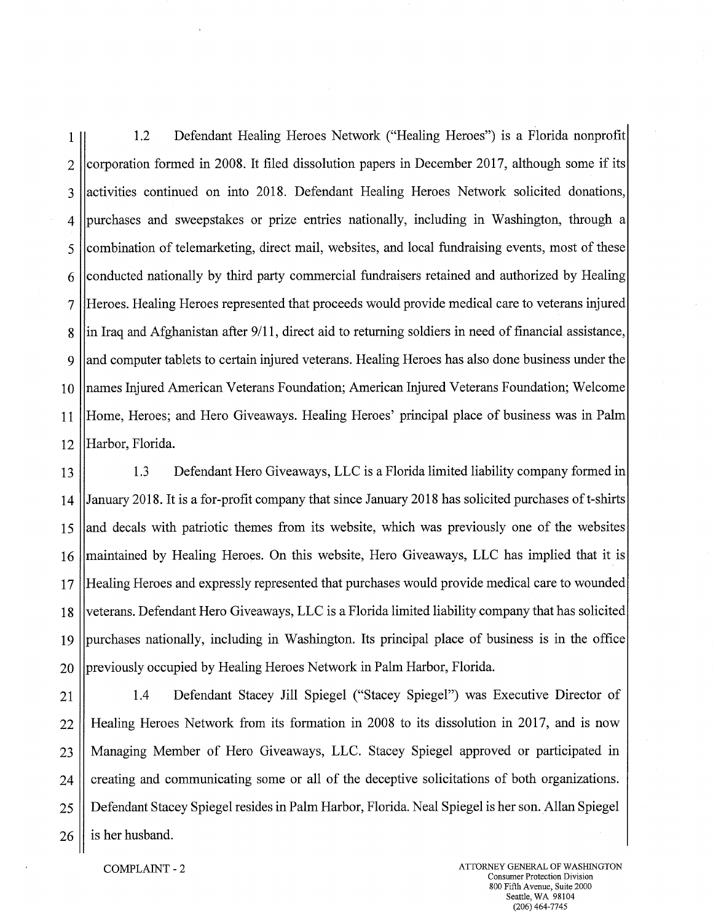1 1.2 Defendant Healing Heroes Network ("Healing Heroes") is a Florida nonprofit  $2$  (corporation formed in 2008. It filed dissolution papers in December 2017, although some if its 3 lactivities continued on into 2018. Defendant Healing Heroes Network solicited donations, 4 1purchases and sweepstakes or prize entries nationally, including in Washington, through a 5 1combination of telemarketing, direct mail, websites, and local fundraising events, most of these 6 1conducted nationally by third party commercial fundraisers retained and authorized by Healing 7 Heroes. Healing Heroes represented that proceeds would provide medical care to veterans injured 8 ||in Iraq and Afghanistan after 9/11, direct aid to returning soldiers in need of financial assistance, 9 and computer tablets to certain injured veterans. Healing Heroes has also done business under the 10 Inames Injured American Veterans Foundation; American Injured Veterans Foundation; Welcome 11 Home, Heroes; and Hero Giveaways. Healing Heroes' principal place of business was in Palm 12 Harbor, Florida.

13 1.3 Defendant Hero Giveaways, LLC is a Florida limited liability company formed in 14 (January 2018. It is a for-profit company that since January 2018 has solicited purchases of t-shirts 15 and decals with patriotic themes from its website, which was previously one of the websites 16 | maintained by Healing Heroes. On this website, Hero Giveaways, LLC has implied that it is 17 lHealing Heroes and expressly represented that purchases would provide medical care to wounded 18 Defendant Hero Giveaways, LLC is a Florida limited liability company that has solicited  $19$  ||purchases nationally, including in Washington. Its principal place of business is in the office 20 Ipreviously occupied by Healing Heroes Network in Palm Harbor, Florida.

21 1.4 Defendant Stacey Jill Spiegel ("Stacey Spiegel") was Executive Director of 22 Healing Heroes Network from its formation in 2008 to its dissolution in 2017, and is now 23 Managing Member of Hero Giveaways, LLC. Stacey Spiegel approved or participated in 24 creating and communicating some or all of the deceptive solicitations of both organizations. 25 Defendant Stacey Spiegel resides in Palm Harbor, Florida. Neal Spiegel is her son. Allan Spiegel  $26 \parallel$  is her husband.

COMPLAINT - 2 ATTORNEY GENERAL OF WASHINGTON Consumer Protection Division 800 Fifth Avenue, Suite 2000 Seattle, WA 98104 (206) 464-7745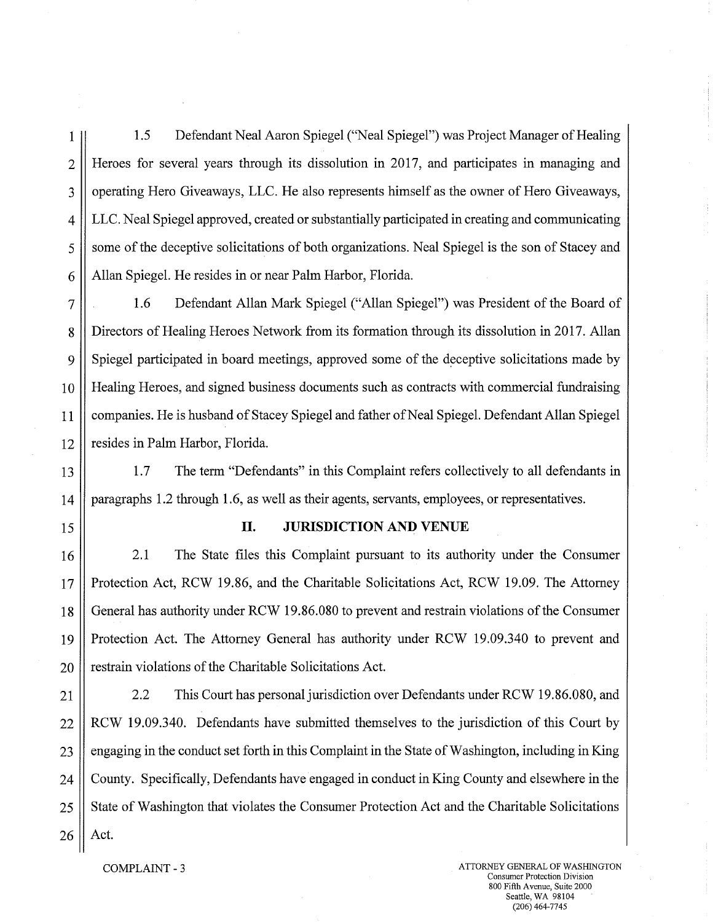1 1.5 Defendant Neal Aaron Spiegel ("Neal Spiegel") was Project Manager of Healing 2 Heroes for several years through its dissolution in 2017, and participates in managing and 3 || operating Hero Giveaways, LLC. He also represents himself as the owner of Hero Giveaways, 4 LLC. Neal Spiegel approved, created or substantially participated in creating and communicating 5 || some of the deceptive solicitations of both organizations. Neal Spiegel is the son of Stacey and 6 | Allan Spiegel. He resides in or near Palm Harbor, Florida.

7 1.6 Defendant Allan Mark Spiegel ("Allan Spiegel") was President of the Board of 8 Directors of Healing Heroes Network from its formation through its dissolution in 2017. Allan 9. Spiegel participated in board meetings, approved some of the deceptive solicitations made by 10 Healing Heroes, and signed business documents such as contracts with commercial fundraising 11 companies. He is husband of Stacey Spiegel and father of Neal Spiegel. Defendant Allan Spiegel 12 | resides in Palm Harbor, Florida.

13 1.7 The term "Defendants" in this Complaint refers collectively to all defendants in 14 paragraphs 1.2 through 1.6, as well as their agents, servants, employees, or representatives.

## 15 **II. JURISDICTION AND VENUE**

16 2.1 The State files this Complaint pursuant to its authority under the Consumer 17 || Protection Act, RCW 19.86, and the Charitable Solicitations Act, RCW 19.09. The Attorney 18 General has authority under RCW 19.86.080 to prevent and restrain violations of the Consumer 19 Protection Act. The Attorney General has authority under RCW 19.09.340 to prevent and  $20$  | restrain violations of the Charitable Solicitations Act.

21 2.2 This Court has personal jurisdiction over Defendants under RCW 19.86.080, and 22 1 RCW 19.09.340. Defendants have submitted themselves to the jurisdiction of this Court by  $23$  engaging in the conduct set forth in this Complaint in the State of Washington, including in King 24 County. Specifically, Defendants have engaged in conduct in King County and elsewhere in the 25 State of Washington that violates the Consumer Protection Act and the Charitable Solicitations  $26$  | Act.

COMPLAINT - 3 ATTORNEY GENERAL OF WASHINGTON Consumer Protection Division 800 Fifth Avenue, Suite 2000 Seattle, WA 98104 (206)464-7745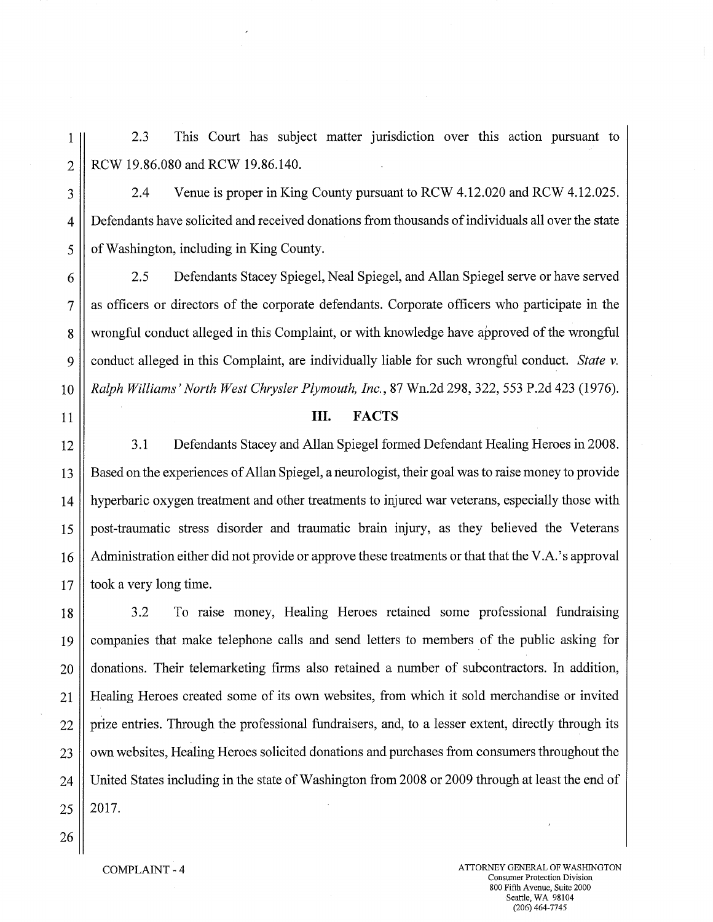1 2.3 This Court has subject matter jurisdiction over this action pursuant to 2 | RCW 19.86.080 and RCW 19.86.140.

3 2.4 Venue is proper in King County pursuant to RCW 4.12.020 and RCW 4.12.025. 4 Defendants have solicited and received donations from thousands of individuals all over the state 5 | of Washington, including in King County.

6 2.5 Defendants Stacey Spiegel, Neal Spiegel, and Allan Spiegel serve or have served 7 || as officers or directors of the corporate defendants. Corporate officers who participate in the 8 wrongful conduct alleged in this Complaint, or with knowledge have approved of the wrongful 9 conduct alleged in this Complaint, are individually liable for such wrongful conduct. *State v.*  10 *Ralph Williams' North West Chrysler Plymouth, Inc.,* 87 Wn.2d 298, 322, 553 P.2d 423 (1976).

## 11 **III. FACTS**

12 3.1 Defendants Stacey and Allan Spiegel formed Defendant Healing Heroes in 2008. 13 Based on the experiences of Allan Spiegel, a neurologist, their goal was to raise money to provide 14 hyperbaric oxygen treatment and other treatments to injured war veterans, especially those with 15 post-traumatic stress disorder and traumatic brain injury, as they believed the Veterans 16 Administration either did not provide or approve these treatments or that that the V.A.'s approval  $17$  | took a very long time.

18 3.2 To raise money, Healing Heroes retained some professional fundraising 19 companies that make telephone calls and send letters to members of the public asking for 20 donations. Their telemarketing firms also retained a number of subcontractors. In addition, 21 Healing Heroes created some of its own websites, from which it sold merchandise or invited 22 || prize entries. Through the professional fundraisers, and, to a lesser extent, directly through its 23 | | own websites, Healing Heroes solicited donations and purchases from consumers throughout the 24 United States including in the state of Washington from 2008 or 2009 through at least the end of  $25 \parallel 2017$ .

26

COMPLAINT - 4 ATTORNEY GENERAL OF WASHINGTON Consumer Protection Division 800 Fifth Avenue, Suite 2000 Seattle, WA 98104 (206)464-7745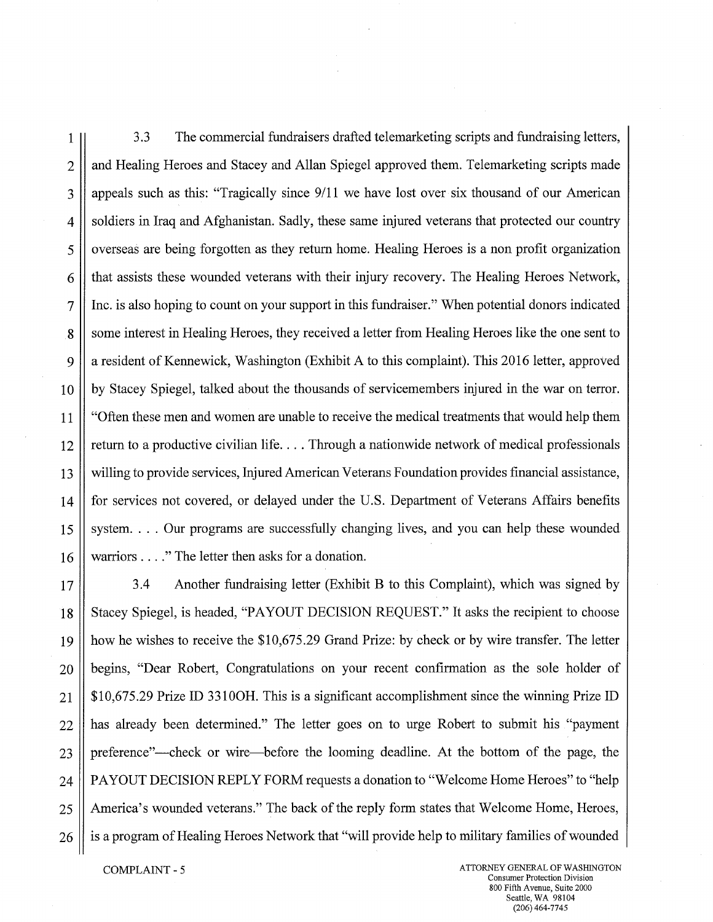1 3.3 The commercial fundraisers drafted telemarketing scripts and fundraising letters, 2 || and Healing Heroes and Stacey and Allan Spiegel approved them. Telemarketing scripts made 3 || appeals such as this: "Tragically since  $9/11$  we have lost over six thousand of our American 4 Soldiers in Iraq and Afghanistan. Sadly, these same injured veterans that protected our country 5 | | overseas are being forgotten as they return home. Healing Heroes is a non profit organization 6 that assists these wounded veterans with their injury recovery. The Healing Heroes Network, 7 Inc. is also hoping to count on your support in this fundraiser." When potential donors indicated 8 S Some interest in Healing Heroes, they received a letter from Healing Heroes like the one sent to 9 a resident of Kennewick, Washington (Exhibit A to this complaint). This 2016 letter, approved 10 by Stacey Spiegel, talked about the thousands of servicemembers injured in the war on terror. 11 || "Often these men and women are unable to receive the medical treatments that would help them  $12$  return to a productive civilian life.... Through a nationwide network of medical professionals 13 willing to provide services, Injured American Veterans Foundation provides financial assistance, 14 for services not covered, or delayed under the U.S. Department of Veterans Affairs benefits 15 System.... Our programs are successfully changing lives, and you can help these wounded 16 warriors . . . . " The letter then asks for a donation.

17  $\vert$  3.4 Another fundraising letter (Exhibit B to this Complaint), which was signed by 18 Stacey Spiegel, is headed, "PAYOUT DECISION REQUEST." It asks the recipient to choose 19 how he wishes to receive the \$10,675.29 Grand Prize: by check or by wire transfer. The letter 20 begins, "Dear Robert, Congratulations on your recent confirmation as the sole holder of 21  $\parallel$  \$10,675.29 Prize ID 3310OH. This is a significant accomplishment since the winning Prize ID 22 has already been determined." The letter goes on to urge Robert to submit his "payment" 23 preference"—check or wire—before the looming deadline. At the bottom of the page, the 24 | PAYOUT DECISION REPLY FORM requests a donation to "Welcome Home Heroes" to "help 25 America's wounded veterans." The back of the reply form states that Welcome Home, Heroes, 26 | is a program of Healing Heroes Network that "will provide help to military families of wounded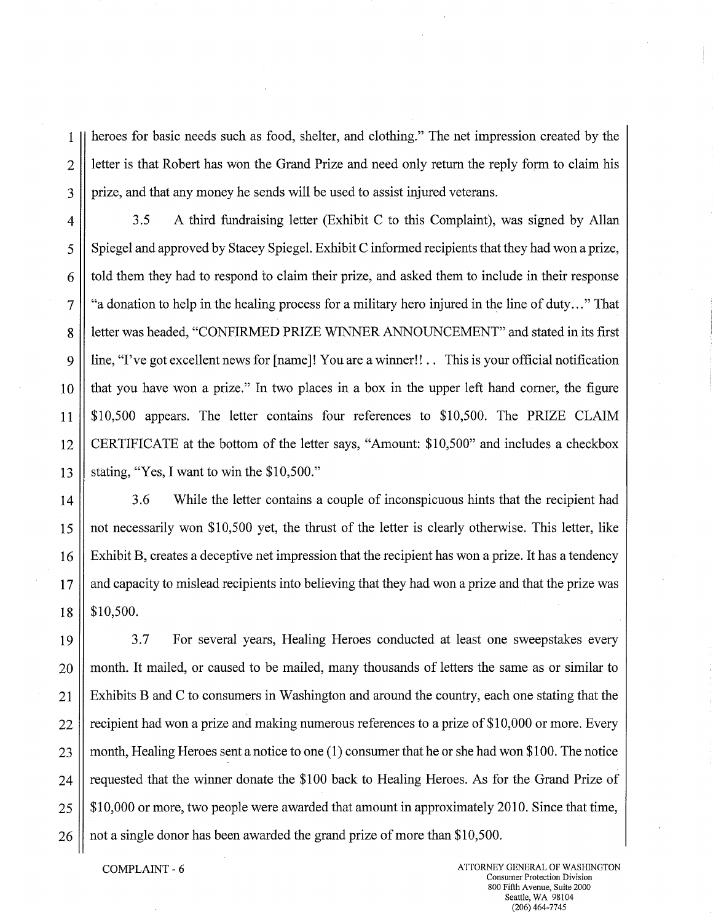1 heroes for basic needs such as food, shelter, and clothing." The net impression created by the  $2 \parallel$  letter is that Robert has won the Grand Prize and need only return the reply form to claim his 3 | prize, and that any money he sends will be used to assist injured veterans.

4 | 3.5 A third fundraising letter (Exhibit C to this Complaint), was signed by Allan 5 Spiegel and approved by Stacey Spiegel. Exhibit C informed recipients that they had won a prize,  $6 \parallel$  told them they had to respond to claim their prize, and asked them to include in their response  $7 \parallel$  "a donation to help in the healing process for a military hero injured in the line of duty..." That 8 | letter was headed, "CONFIRMED PRIZE WINNER ANNOUNCEMENT" and stated in its first 9 | line, "I've got excellent news for [name]! You are a winner!! . This is your official notification  $10$  that you have won a prize." In two places in a box in the upper left hand corner, the figure 11 \$10,500 appears. The letter contains four references to \$10,500. The PRIZE CLAIM 12 CERTIFICATE at the bottom of the letter says, "Amount: \$10,500" and includes a checkbox 13 Stating, "Yes, I want to win the \$10,500."

14 3.6 While the letter contains a couple of inconspicuous hints that the recipient had 15 not necessarily won \$10,500 yet, the thrust of the letter is clearly otherwise. This letter, like 16 Exhibit B, creates a deceptive net impression that the recipient has won a prize. It has a tendency 17 || and capacity to mislead recipients into believing that they had won a prize and that the prize was  $18 \parallel$  \$10,500.

19 3.7 For several years, Healing Heroes conducted at least one sweepstakes every 20 || month. It mailed, or caused to be mailed, many thousands of letters the same as or similar to  $21$  | Exhibits B and C to consumers in Washington and around the country, each one stating that the  $22$  | recipient had won a prize and making numerous references to a prize of \$10,000 or more. Every 23 month, Healing Heroes sent a notice to one  $(1)$  consumer that he or she had won \$100. The notice  $24$  | requested that the winner donate the \$100 back to Healing Heroes. As for the Grand Prize of  $25 \parallel$  \$10,000 or more, two people were awarded that amount in approximately 2010. Since that time,  $26 \parallel$  not a single donor has been awarded the grand prize of more than \$10,500.

COMPLAINT - 6 ATTORNEY GENERAL OF WASHINGTON Consumer Protection Division 800 Fifth Avenue, Suite 2000 Seattle, WA 98104 (206)464-7745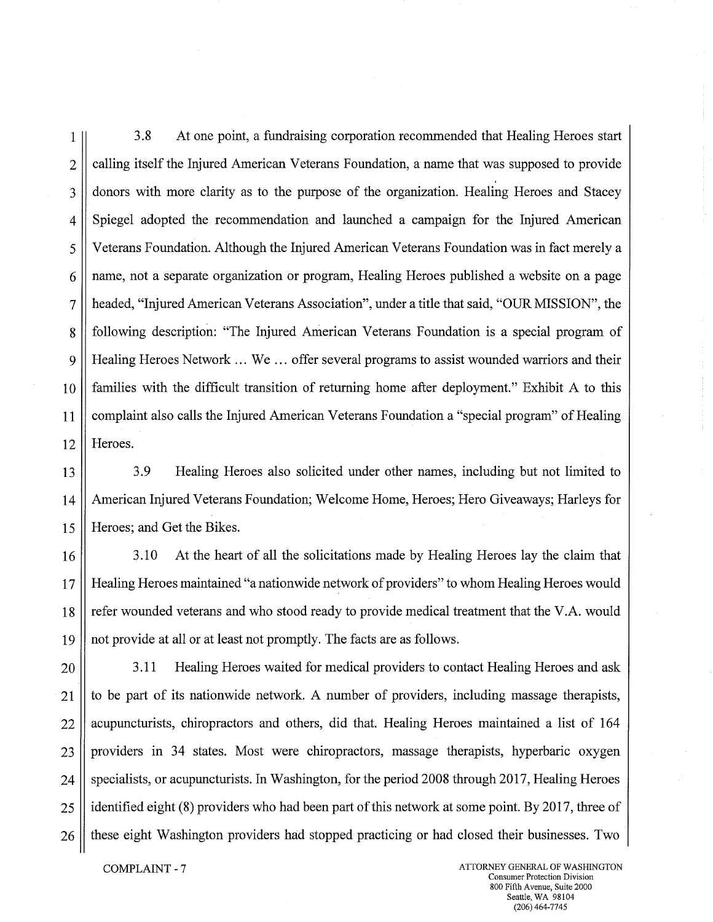1 3.8 At one point, a fundraising corporation recommended that Healing Heroes start 2 calling itself the Injured American Veterans Foundation, a name that was supposed to provide 3 donors with more clarity as to the purpose of the organization. Healing Heroes and Stacey 4 Spiegel adopted the recommendation and launched a campaign for the Injured American 5 Veterans Foundation. Although the Injured American Veterans Foundation was in fact merely a 6 name, not a separate organization or program, Healing Heroes published a website on a page 7 headed, "Injured American Veterans Association", under a title that said, "OUR MISSION", the 8 Sull following description: "The Injured American Veterans Foundation is a special program of 9 Healing Heroes Network ... We ... offer several programs to assist wounded warriors and their 10 families with the difficult transition of returning home after deployment." Exhibit A to this 11 complaint also calls the Injured American Veterans Foundation a "special program" of Healing 12 Heroes.

13 3.9 Healing Heroes also solicited under other names, including but not limited to 14 American Injured Veterans Foundation; Welcome Home, Heroes; Hero Giveaways; Harleys for 15 Heroes; and Get the Bikes.

16 3.10 At the heart of all the solicitations made by Healing Heroes lay the claim that 17 Healing Heroes maintained "a nationwide network of providers" to whom Healing Heroes would 18 refer wounded veterans and who stood ready to provide medical treatment that the V.A. would 19 not provide at all or at least not promptly. The facts are as follows.

**3.11** Healing Heroes waited for medical providers to contact Healing Heroes and ask to be part of its nationwide network. A number of providers, including massage therapists, acupuncturists, chiropractors and others, did that. Healing Heroes maintained a list of 164 || providers in 34 states. Most were chiropractors, massage therapists, hyperbaric oxygen specialists, or acupuncturists. In Washington, for the period 2008 through 2017, Healing Heroes 25 || identified eight (8) providers who had been part of this network at some point. By 2017, three of 26 || these eight Washington providers had stopped practicing or had closed their businesses. Two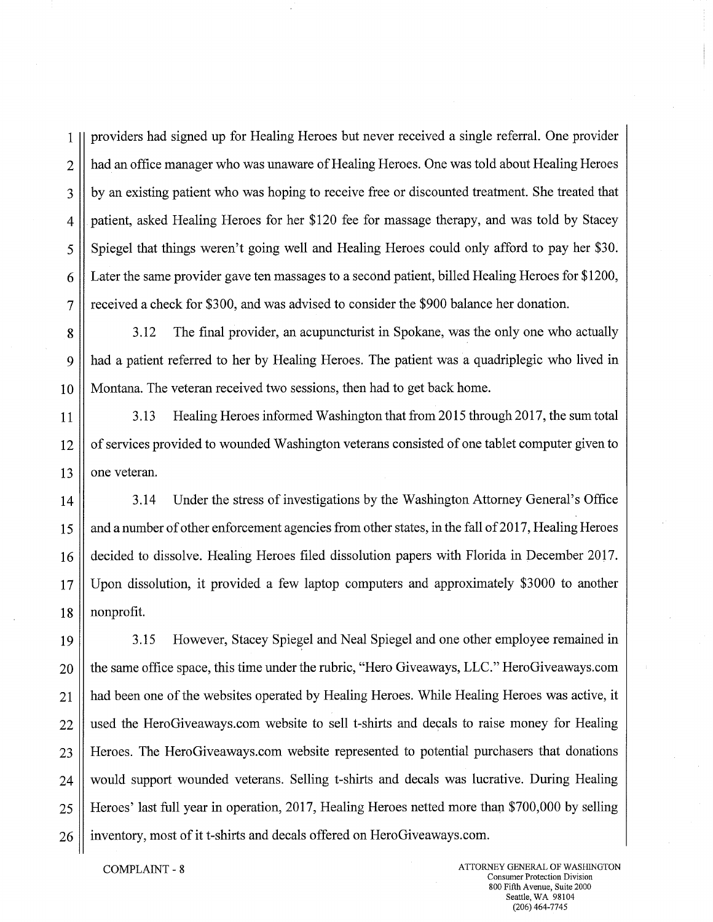I providers had signed up for Healing Heroes but never received a single referral. One provider 2 | had an office manager who was unaware of Healing Heroes. One was told about Healing Heroes 3 || by an existing patient who was hoping to receive free or discounted treatment. She treated that 4 patient, asked Healing Heroes for her \$120 fee for massage therapy, and was told by Stacey 5 Spiegel that things weren't going well and Healing Heroes could only afford to pay her \$30. 6 Later the same provider gave ten massages to a second patient, billed Healing Heroes for \$1200, 7 received a check for \$300, and was advised to consider the \$900 balance her donation.

g 3.12 The final provider, an acupuncturist in Spokane, was the only one who actually 9 had a patient referred to her by Healing Heroes. The patient was a quadriplegic who lived in 10 Montana. The veteran received two sessions, then had to get back home.

11 | 3.13 Healing Heroes informed Washington that from 2015 through 2017, the sum total 12 | of services provided to wounded Washington veterans consisted of one tablet computer given to  $13$  | one veteran.

14 3.14 Under the stress of investigations by the Washington Attorney General's Office 15 and a number of other enforcement agencies from other states, in the fall of 2017, Healing Heroes 16 decided to dissolve. Healing Heroes filed dissolution papers with Florida in December 2017. 17 Upon dissolution, it provided a few laptop computers and approximately \$3000 to another 18 nonprofit.

19 3.15 However, Stacey Spiegel and Neal Spiegel and one other employee remained in 20 | the same office space, this time under the rubric, "Hero Giveaways, LLC." Hero Giveaways.com 21 || had been one of the websites operated by Healing Heroes. While Healing Heroes was active, it 22 | used the HeroGiveaways.com website to sell t-shirts and decals to raise money for Healing 23 Heroes. The HeroGiveaways.comwebsite represented to potential purchasers that donations 24 would support wounded veterans. Selling t-shirts and decals was lucrative. During Healing 25 Heroes' last full year in operation, 2017, Healing Heroes netted more than \$700,000 by selling 26 | inventory, most of it t-shirts and decals offered on HeroGiveaways.com.

COMPLAINT - 8 ATTORNEY GENERAL OF WASHINGTON Consumer Protection Division 800 Fifth Avenue, Suite 2000 Seattle, WA 98104 (206) 464-7745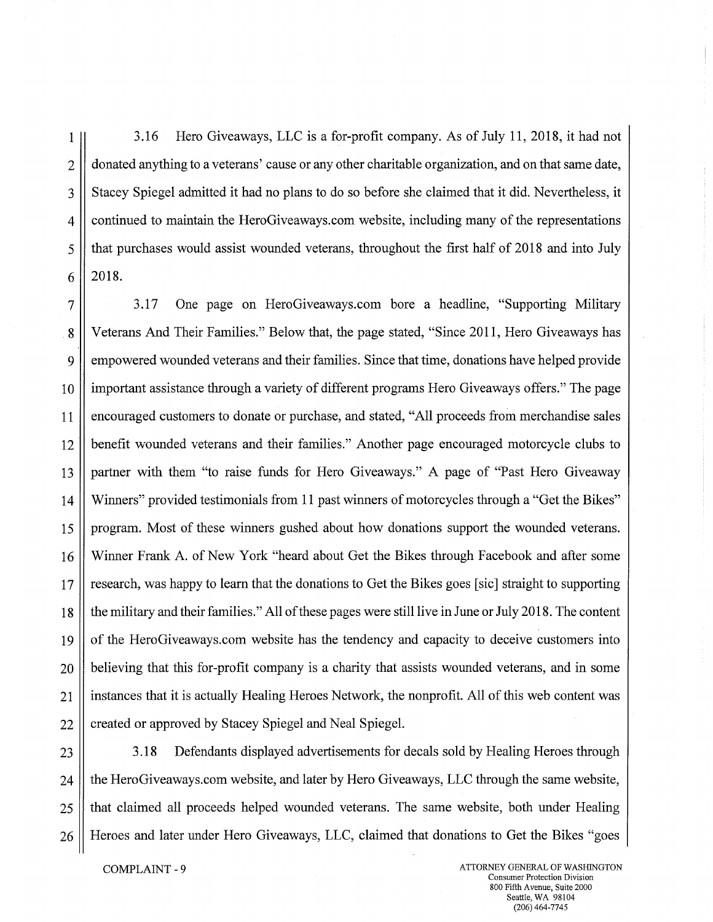1 3.16 Hero Giveaways, LLC is a for-profit company. As of July 11, 2018, it had not 2 donated anything to a veterans' cause or any other charitable organization, and on that same date, 3 Stacey Spiegel admitted it had no plans to do so before she claimed that it did. Nevertheless, it 4 continued to maintain the HeroGiveaways.comwebsite, including many of the representations 5 that purchases would assist wounded veterans, throughout the first half of 2018 and into July  $6 \parallel 2018.$ 

7 3.17 One page on HeroGiveaways.combore a headline, "Supporting Military .8 Veterans And Their Families." Below that, the page stated, "Since 2011, Hero Giveaways has 9 empowered wounded veterans and their families. Since that time, donations have helped provide 10 important assistance through a variety of different programs Hero Giveaways offers." The page 11 encouraged customers to donate or purchase, and stated, "All proceeds from merchandise sales 12 benefit wounded veterans and their families." Another page encouraged motorcycle clubs to 13 partner with them "to raise funds for Hero Giveaways." A page of "Past Hero Giveaway 14 Winners" provided testimonials from 11 past winners of motorcycles through a "Get the Bikes" 15 program. Most of these winners gushed about how donations support the wounded veterans. 16 Winner Frank A. of New York "heard about Get the Bikes through Facebook and after some 17 research, was happy to learn that the donations to Get the Bikes goes [sic] straight to supporting 18 the military and their families." All of these pages were still live in June or July 2018. The content 19 of the HeroGiveaways.com website has the tendency and capacity to deceive customers into 20 believing that this for-profit company is a charity that assists wounded veterans, and in some 21 instances that it is actually Healing Heroes Network, the nonprofit. All of this web content was 22 || created or approved by Stacey Spiegel and Neal Spiegel.

23 3.18 Defendants displayed advertisements for decals sold by Healing Heroes through 24 | the HeroGiveaways.com website, and later by Hero Giveaways, LLC through the same website, 25 that claimed all proceeds helped wounded veterans. The same website, both under Healing 26 Heroes and later under Hero Giveaways, LLC, claimed that donations to Get the Bikes "goes"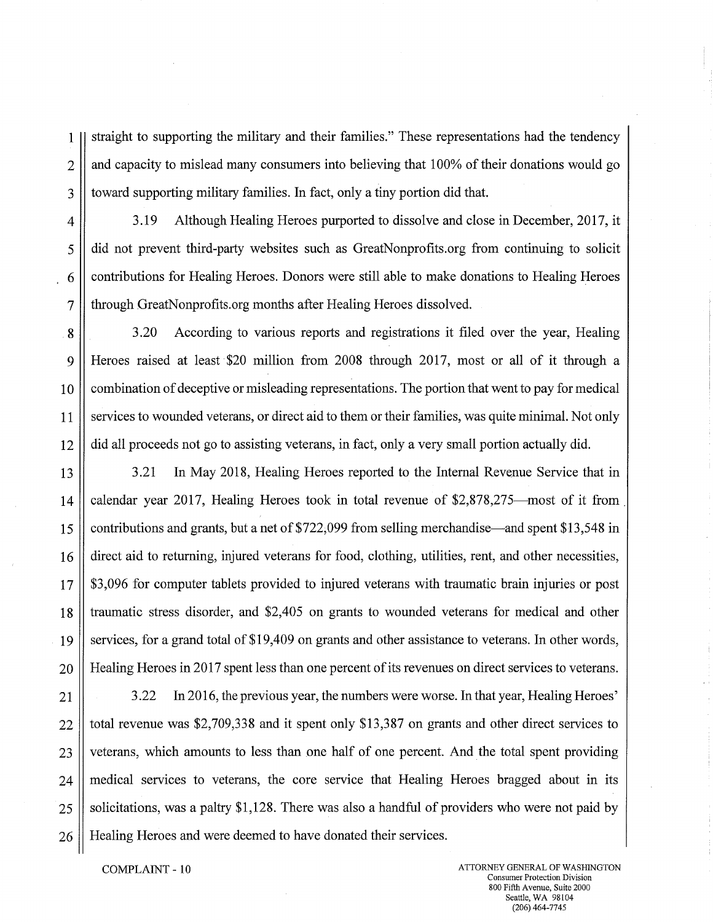1 straight to supporting the military and their families." These representations had the tendency  $2 \parallel$  and capacity to mislead many consumers into believing that 100% of their donations would go 3 | toward supporting military families. In fact, only a tiny portion did that.

4 3.19 Although Healing Heroes purported to dissolve and close in December, 2017, it 5 did not prevent third-party websites such as GreatNonprofits.org from continuing to solicit 6 contributions for Healing Heroes. Donors were still able to make donations to Healing Heroes 7 | through GreatNonprofits.org months after Healing Heroes dissolved.

8 3.20 According to various reports and registrations it filed over the year, Healing 9 Heroes raised at least \$20 million from 2008 through 2017, most or all of it through a 10 combination of deceptive or misleading representations. The portion that went to pay for medical 11 Services to wounded veterans, or direct aid to them or their families, was quite minimal. Not only 12 did all proceeds not go to assisting veterans, in fact, only a very small portion actually did.

13 3.21 In May 2018, Healing Heroes reported to the Internal Revenue Service that in 14 calendar year 2017, Healing Heroes took in total revenue of \$2,878,275—most of it from 15 contributions and grants, but a net of \$722,099 from selling merchandise—and spent \$13,548 in 16 direct aid to returning, injured veterans for food, clothing, utilities, rent, and other necessities, 17 \$3,096 for computer tablets provided to injured veterans with traumatic brain injuries or post 18 traumatic stress disorder, and \$2,405 on grants to wounded veterans for medical and other 19 services, for a grand total of \$19,409 on grants and other assistance to veterans. In other words, 20 Healing Heroes in 2017 spent less than one percent of its revenues on direct services to veterans.

21  $\parallel$  3.22 In 2016, the previous year, the numbers were worse. In that year, Healing Heroes'  $22$  | total revenue was \$2,709,338 and it spent only \$13,387 on grants and other direct services to 23 veterans, which amounts to less than one half of one percent. And the total spent providing 24 medical services to veterans, the core service that Healing Heroes bragged about in its  $25$  solicitations, was a paltry \$1,128. There was also a handful of providers who were not paid by 26 | Healing Heroes and were deemed to have donated their services.

COMPLAINT - 10 **ATTORNEY GENERAL OF WASHINGTON** Consumer Protection Division 800 Fifth Avenue, Suite 2000 Seattle, WA 98104 (206)464-7745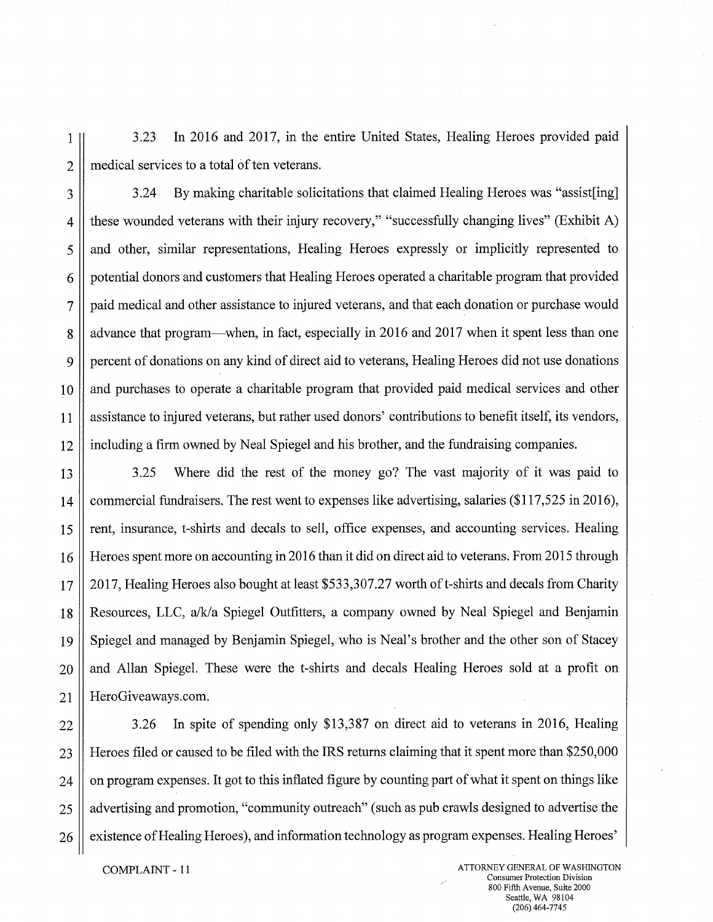1 3.23 In 2016 and 2017, in the entire United States, Healing Heroes provided paid  $2 \parallel$  medical services to a total of ten veterans.

3.24 By making charitable solicitations that claimed Healing Heroes was "assist [ing] 4 these wounded veterans with their injury recovery," "successfully changing lives" (Exhibit A) 5 and other, similar representations, Healing Heroes expressly or implicitly represented to 6 | potential donors and customers that Healing Heroes operated a charitable program that provided 7 | paid medical and other assistance to injured veterans, and that each donation or purchase would 8 advance that program—when, in fact, especially in 2016 and 2017 when it spent less than one 9 | percent of donations on any kind of direct aid to veterans, Healing Heroes did not use donations 10 || and purchases to operate a charitable program that provided paid medical services and other 11 assistance to injured veterans, but rather used donors' contributions to benefit itself, its vendors, 12 including a firm owned by Neal Spiegel and his brother, and the fundraising companies.

13 3.25 Where did the rest of the money go? The vast majority of it was paid to 14 commercial fundraisers. The rest went to expenses like advertising, salaries (\$117,525 in 2016), 15 rent, insurance, t-shirts and decals to sell, office expenses, and accounting services. Healing 16 Heroes spent more on accounting in 2016 than it did on direct aid to veterans. From 2015 through 17 2017, Healing Heroes also bought at least \$533,307.27 worth of t-shirts and decals from Charity 18 Resources, LLC, a/k/a Spiegel Outfitters, a company owned by Neal Spiegel and Benjamin 19 Spiegel and managed by Benjamin Spiegel, who is Neal's brother and the other son of Stacey 20 || and Allan Spiegel. These were the t-shirts and decals Healing Heroes sold at a profit on 21 | HeroGiveaways.com.

22  $\parallel$  3.26 In spite of spending only \$13,387 on direct aid to veterans in 2016, Healing 23 Heroes filed or caused to be filed with the IRS returns claiming that it spent more than \$250,000  $24$  | on program expenses. It got to this inflated figure by counting part of what it spent on things like 25 advertising and promotion, "community outreach" (such as pub crawls designed to advertise the  $26 \parallel$  existence of Healing Heroes), and information technology as program expenses. Healing Heroes'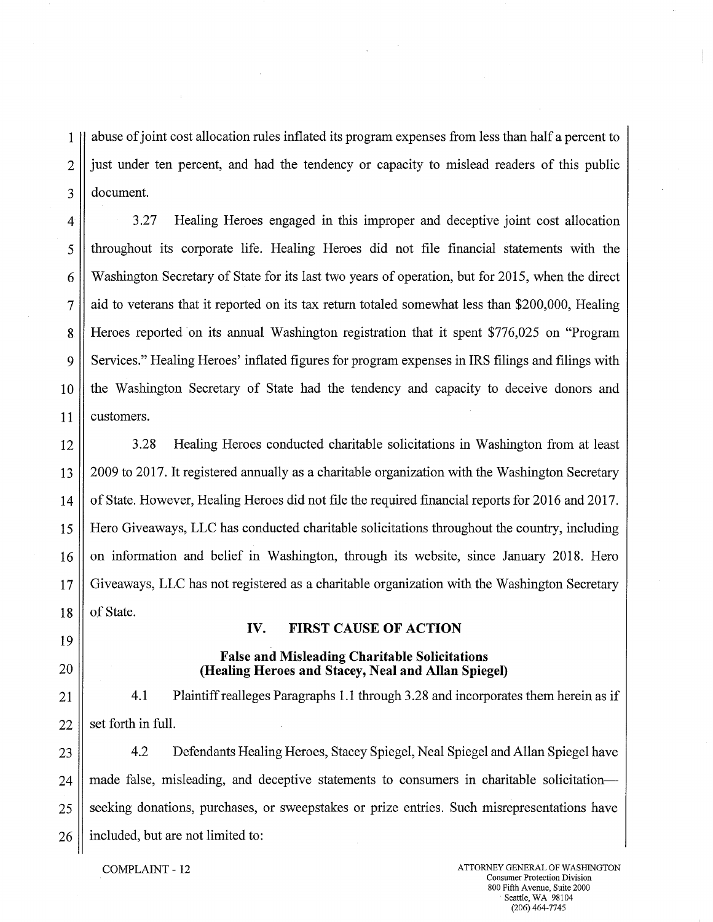1 abuse of joint cost allocation rules inflated its program expenses from less than half a percent to 2 | just under ten percent, and had the tendency or capacity to mislead readers of this public 3 document.

4 3.27 Healing Heroes engaged in this improper and deceptive joint cost allocation 5 throughout its corporate life. Healing Heroes did not file financial statements with the 6 Washington Secretary of State for its last two years of operation, but for 2015, when the direct  $7 \parallel$  aid to veterans that it reported on its tax return totaled somewhat less than \$200,000, Healing 8 Heroes reported on its annual Washington registration that it spent \$776,025 on "Program 9 Services." Healing Heroes' inflated figures for program expenses in IRS filings and filings with 10 the Washington Secretary of State had the tendency and capacity to deceive donors and 11 | customers.

12 3.28 Healing Heroes conducted charitable solicitations in Washington from at least 13 2009 to 2017. It registered annually as a charitable organization with the Washington Secretary 14 of State. However, Healing Heroes did not file the required financial reports for 2016 and 2017. 15 Hero Giveaways, LLC has conducted charitable solicitations throughout the country, including 16 || on information and belief in Washington, through its website, since January 2018. Hero 17 Giveaways, LLC has not registered as a charitable organization with the Washington Secretary  $18$  | of State.

**IV. FIRST CAUSE OF ACTION** 

**False and Misleading Charitable Solicitations** 

- 19
- 20 **(Healing Heroes and Stacey, Neal and Allan Spiegel)**
- 

21 | 4.1 Plaintiff realleges Paragraphs 1.1 through 3.28 and incorporates them herein as if  $22$  | set forth in full.

23 | 4.2 Defendants Healing Heroes, Stacey Spiegel, Neal Spiegel and Allan Spiegel have 24 made false, misleading, and deceptive statements to consumers in charitable solicitation— 25 Seeking donations, purchases, or sweepstakes or prize entries. Such misrepresentations have  $26 \parallel$  included, but are not limited to: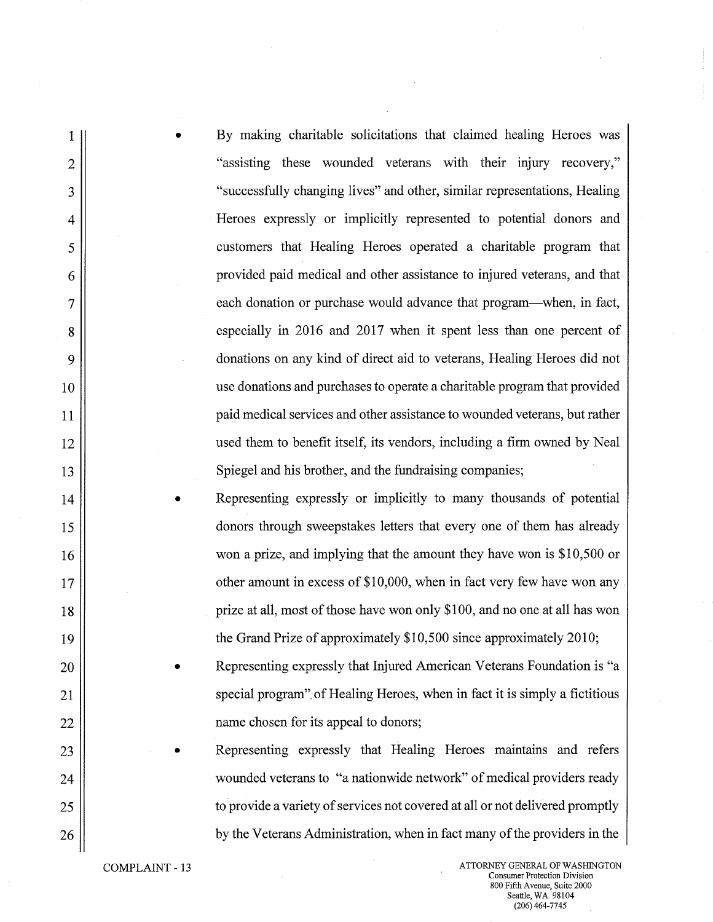I • By making charitable solicitations that claimed healing Heroes was 2 ||  $\blacksquare$  "assisting these wounded veterans with their injury recovery," 3 || "successfully changing lives" and other, similar representations, Healing 4 Heroes expressly or implicitly represented to potential donors and 5 customers that Healing Heroes operated a charitable program that 6 provided paid medical and other assistance to injured veterans, and that 7 each donation or purchase would advance that program—when, in fact, g especially in 2016 and 2017 when it spent less than one percent of 9 donations on any kind of direct aid to veterans, Healing Heroes did not 10 use donations and purchases to operate a charitable program that provided 11 || 12 ||<br>used them to benefit itself, its vendors, including a firm owned by Neal 13 || Spiegel and his brother, and the fundraising companies; 14 • Representing expressly or implicitly to many thousands of potential 15 donors through sweepstakes letters that every one of them has already 16 || won a prize, and implying that the amount they have won is \$10,500 or 17 || communities other amount in excess of \$10,000, when in fact very few have won any 18 prize at all, most of those have won only \$100, and no one at all has won 19 || the Grand Prize of approximately \$10,500 since approximately 2010; 20 || Representing expressly that Injured American Veterans Foundation is "a 21 || special program" of Healing Heroes, when in fact it is simply a fictitious 22 || name chosen for its appeal to donors; 23 || Representing expressly that Healing Heroes maintains and refers

24 || wounded veterans to "a nationwide network" of medical providers ready 25 || 26 **by the Veterans Administration**, when in fact many of the providers in the

COMPLAINT - 13 ATTORNEY GENERAL OF WASHINGTON Consumer Protection Division 800 Fifth Avenue, Suite 2000 Seattle, WA 98104 (206) 464-7745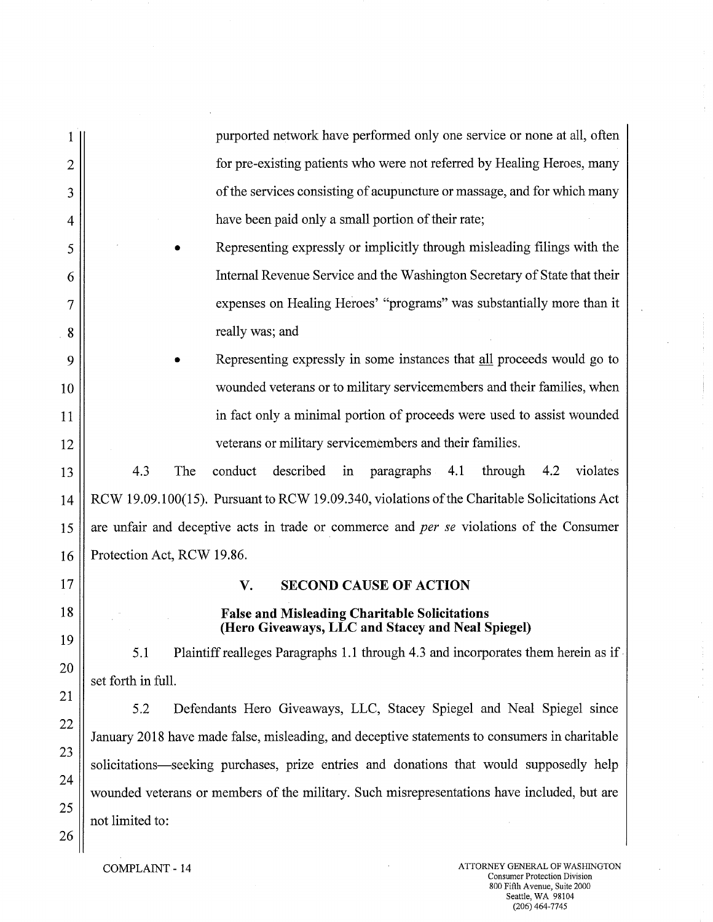|                | purported network have performed only one service or none at all, often                                                                                                       |  |  |
|----------------|-------------------------------------------------------------------------------------------------------------------------------------------------------------------------------|--|--|
| $\overline{2}$ | for pre-existing patients who were not referred by Healing Heroes, many                                                                                                       |  |  |
| 3              | of the services consisting of acupuncture or massage, and for which many                                                                                                      |  |  |
| 4              | have been paid only a small portion of their rate;                                                                                                                            |  |  |
| 5              | Representing expressly or implicitly through misleading filings with the                                                                                                      |  |  |
| 6              | Internal Revenue Service and the Washington Secretary of State that their                                                                                                     |  |  |
| 7              | expenses on Healing Heroes' "programs" was substantially more than it                                                                                                         |  |  |
| 8              | really was; and                                                                                                                                                               |  |  |
| 9              | Representing expressly in some instances that all proceeds would go to                                                                                                        |  |  |
| 10             | wounded veterans or to military servicemembers and their families, when                                                                                                       |  |  |
| 11             | in fact only a minimal portion of proceeds were used to assist wounded                                                                                                        |  |  |
| 12             | veterans or military servicemembers and their families.                                                                                                                       |  |  |
| 13             | 4.3<br>The<br>conduct<br>described<br>paragraphs 4.1<br>through<br>4.2<br>violates<br>in                                                                                      |  |  |
| 14             | RCW 19.09.100(15). Pursuant to RCW 19.09.340, violations of the Charitable Solicitations Act                                                                                  |  |  |
| 15             | are unfair and deceptive acts in trade or commerce and <i>per se</i> violations of the Consumer                                                                               |  |  |
| 16             | Protection Act, RCW 19.86.                                                                                                                                                    |  |  |
| 17             | <b>SECOND CAUSE OF ACTION</b><br>V.                                                                                                                                           |  |  |
| 18             | <b>False and Misleading Charitable Solicitations</b>                                                                                                                          |  |  |
| 19             | (Hero Giveaways, LLC and Stacey and Neal Spiegel)                                                                                                                             |  |  |
| 20             | Plaintiff realleges Paragraphs 1.1 through 4.3 and incorporates them herein as if<br>5.1<br>set forth in full.                                                                |  |  |
| 21             |                                                                                                                                                                               |  |  |
| 22             | 5.2<br>Defendants Hero Giveaways, LLC, Stacey Spiegel and Neal Spiegel since<br>January 2018 have made false, misleading, and deceptive statements to consumers in charitable |  |  |
| 23             | solicitations-seeking purchases, prize entries and donations that would supposedly help                                                                                       |  |  |
| 24             | wounded veterans or members of the military. Such misrepresentations have included, but are                                                                                   |  |  |
| 25             | not limited to:                                                                                                                                                               |  |  |
| 26             |                                                                                                                                                                               |  |  |

 $\sim$ 

ý.

 $\label{eq:1} \frac{1}{\sqrt{2\pi}}\int_{0}^{\pi} \frac{1}{\sqrt{2\pi}}\left(\frac{1}{\sqrt{2\pi}}\right)^{2} \frac{1}{\sqrt{2\pi}}\int_{0}^{\pi} \frac{1}{\sqrt{2\pi}}\left(\frac{1}{\sqrt{2\pi}}\right)^{2} \frac{1}{\sqrt{2\pi}}\int_{0}^{\pi} \frac{1}{\sqrt{2\pi}}\frac{1}{\sqrt{2\pi}}\frac{1}{\sqrt{2\pi}}\frac{1}{\sqrt{2\pi}}\frac{1}{\sqrt{2\pi}}\frac{1}{\sqrt{2\pi}}\frac{1}{\sqrt{2\pi}}\frac$ 

 $\overline{1}$ 

 $\bar{\mathcal{L}}$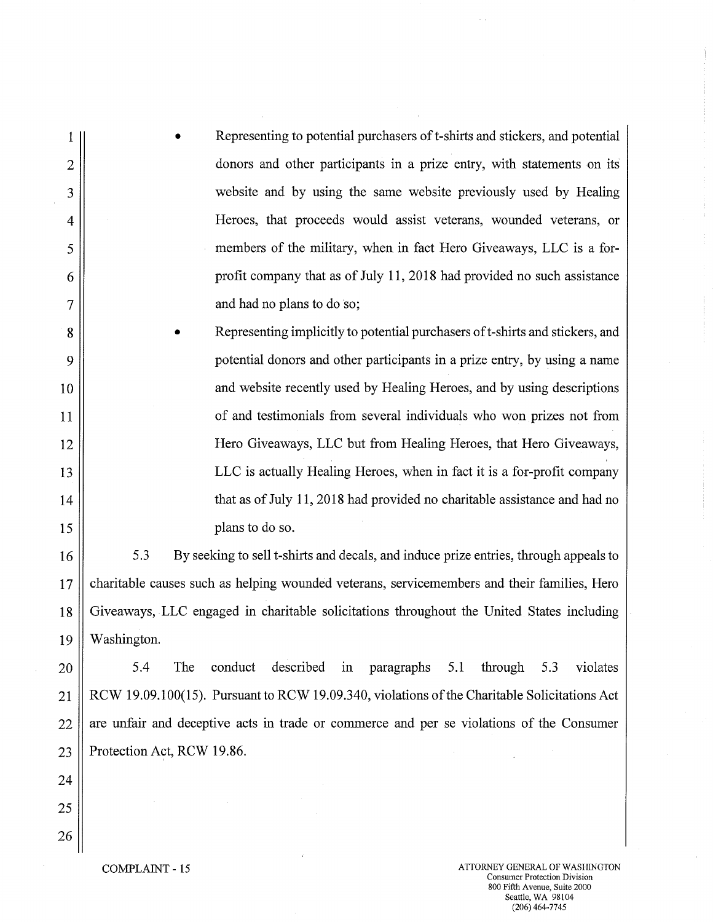| $1\vert$                | Representing to potential purchasers of t-shirts and stickers, and potential<br>$\bullet$ |
|-------------------------|-------------------------------------------------------------------------------------------|
| $\overline{2}$          | donors and other participants in a prize entry, with statements on its                    |
| 3                       | website and by using the same website previously used by Healing                          |
| $\overline{\mathbf{4}}$ | Heroes, that proceeds would assist veterans, wounded veterans, or                         |
| 5                       | members of the military, when in fact Hero Giveaways, LLC is a for-                       |
| 6                       | profit company that as of July 11, 2018 had provided no such assistance                   |
| $\overline{7}$          | and had no plans to do so;                                                                |
|                         |                                                                                           |

8 | Representing implicitly to potential purchasers of t-shirts and stickers, and 9 potential donors and other participants in a prize entry, by using a name 10 || and website recently used by Healing Heroes, and by using descriptions 11 || 12 || Hero Giveaways, LLC but from Healing Heroes, that Hero Giveaways, 13 || 14 || that as of July 11, 2018 had provided no charitable assistance and had no 15 || plans to do so.

16 5.3 By seeking to sell t-shirts and decals, and induce prize entries, through appeals to 17 charitable causes such as helping wounded veterans, servicemembers and their families, Hero 18 Giveaways, LLC engaged in charitable solicitations throughout the United States including 19 Washington.

 $20$   $\parallel$  5.4 The conduct described in paragraphs 5.1 through 5.3 violates 21 RCW 19.09.100(15). Pursuant to RCW 19.09.340, violations of the Charitable Solicitations Act  $22$  || are unfair and deceptive acts in trade or commerce and per se violations of the Consumer 23 || Protection Act, RCW 19.86.

24 25 26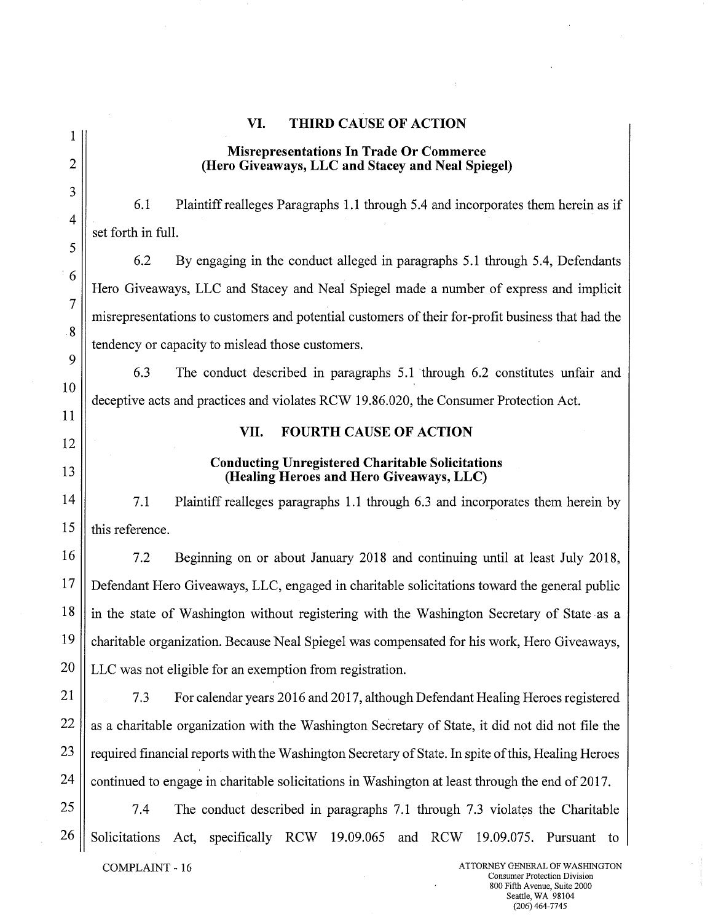|                                                                                         | <b>THIRD CAUSE OF ACTION</b><br>VI.                                                                 |  |  |  |  |
|-----------------------------------------------------------------------------------------|-----------------------------------------------------------------------------------------------------|--|--|--|--|
|                                                                                         | <b>Misrepresentations In Trade Or Commerce</b>                                                      |  |  |  |  |
| $\overline{2}$                                                                          | (Hero Giveaways, LLC and Stacey and Neal Spiegel)                                                   |  |  |  |  |
| 3                                                                                       | 6.1<br>Plaintiff realleges Paragraphs 1.1 through 5.4 and incorporates them herein as if            |  |  |  |  |
| $\overline{4}$                                                                          | set forth in full.                                                                                  |  |  |  |  |
| 5                                                                                       | 6.2<br>By engaging in the conduct alleged in paragraphs 5.1 through 5.4, Defendants                 |  |  |  |  |
| $\frac{1}{6}$                                                                           | Hero Giveaways, LLC and Stacey and Neal Spiegel made a number of express and implicit               |  |  |  |  |
| $\overline{7}$                                                                          | misrepresentations to customers and potential customers of their for-profit business that had the   |  |  |  |  |
| 8                                                                                       | tendency or capacity to mislead those customers.                                                    |  |  |  |  |
| 9                                                                                       | 6.3<br>The conduct described in paragraphs 5.1 through 6.2 constitutes unfair and                   |  |  |  |  |
| 10                                                                                      | deceptive acts and practices and violates RCW 19.86.020, the Consumer Protection Act.               |  |  |  |  |
| 11                                                                                      | <b>FOURTH CAUSE OF ACTION</b><br>VII.                                                               |  |  |  |  |
| 12                                                                                      |                                                                                                     |  |  |  |  |
| 13                                                                                      | <b>Conducting Unregistered Charitable Solicitations</b><br>(Healing Heroes and Hero Giveaways, LLC) |  |  |  |  |
| 14                                                                                      | 7.1<br>Plaintiff realleges paragraphs 1.1 through 6.3 and incorporates them herein by               |  |  |  |  |
| 15                                                                                      | this reference.                                                                                     |  |  |  |  |
| 16                                                                                      | 7.2<br>Beginning on or about January 2018 and continuing until at least July 2018,                  |  |  |  |  |
| 17                                                                                      | Defendant Hero Giveaways, LLC, engaged in charitable solicitations toward the general public        |  |  |  |  |
| 18                                                                                      | in the state of Washington without registering with the Washington Secretary of State as a          |  |  |  |  |
| 19                                                                                      | charitable organization. Because Neal Spiegel was compensated for his work, Hero Giveaways,         |  |  |  |  |
| 20                                                                                      | LLC was not eligible for an exemption from registration.                                            |  |  |  |  |
| 21                                                                                      | 7.3<br>For calendar years 2016 and 2017, although Defendant Healing Heroes registered               |  |  |  |  |
| 22                                                                                      | as a charitable organization with the Washington Secretary of State, it did not did not file the    |  |  |  |  |
| 23                                                                                      | required financial reports with the Washington Secretary of State. In spite of this, Healing Heroes |  |  |  |  |
| 24                                                                                      | continued to engage in charitable solicitations in Washington at least through the end of 2017.     |  |  |  |  |
| 25                                                                                      | 7.4<br>The conduct described in paragraphs 7.1 through 7.3 violates the Charitable                  |  |  |  |  |
| 26                                                                                      | specifically RCW 19.09.065 and RCW<br>Solicitations<br>Act,<br>19.09.075.<br>Pursuant to            |  |  |  |  |
| ATTORNEY GENERAL OF WASHINGTON<br>COMPLAINT - 16<br><b>Consumer Protection Division</b> |                                                                                                     |  |  |  |  |

 $\label{eq:2} \frac{d\mathbf{r}}{dt} = \frac{1}{2} \mathbf{r} \mathbf{r}^2$ 

 $\bar{\beta}$ 

 $\hat{J}$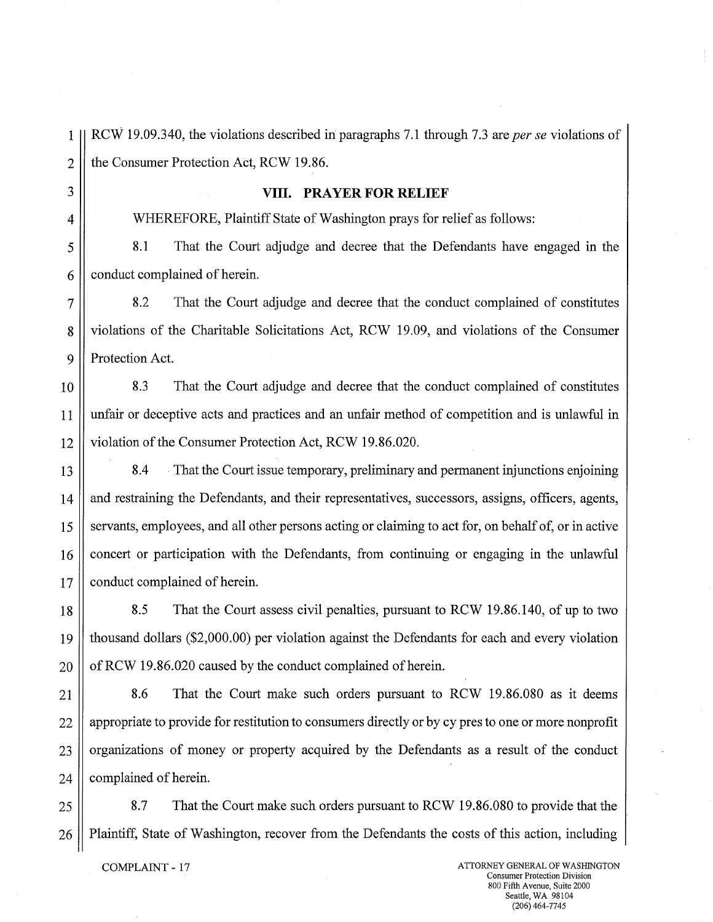$2 \parallel$  the Consumer Protection Act, RCW 19.86. 3 **VIII. PRAYER FOR RELIEF**  4 WHEREFORE, Plaintiff State of Washington prays for relief as follows: 5 8.1 That the Court adjudge and decree that the Defendants have engaged in the  $6 \parallel$  conduct complained of herein. 7 8.2 That the Court adjudge and decree that the conduct complained of constitutes 8 violations of the Charitable Solicitations Act, RCW 19.09, and violations of the Consumer 9 || Protection Act. 10 8.3 That the Court adjudge and decree that the conduct complained of constitutes 11 unfair or deceptive acts and practices and an unfair method of competition and is unlawful in 12 violation of the Consumer Protection Act, RCW 19.86.020. 13 8.4 That the Court issue temporary, preliminary and permanent injunctions enjoining 14 || and restraining the Defendants, and their representatives, successors, assigns, officers, agents, 15 Servants, employees, and all other persons acting or claiming to act for, on behalf of, or in active 16 concert or participation with the Defendants, from continuing or engaging in the unlawful 17 | conduct complained of herein. 18 8.5 That the Court assess civil penalties, pursuant to RCW 19.86.140, of up to two 19 thousand dollars (\$2,000.00) per violation against the Defendants for each and every violation  $20 \parallel$  of RCW 19.86.020 caused by the conduct complained of herein. 21 8.6 That the Court make such orders pursuant to RCW 19.86.080 as it deems 22 || appropriate to provide for restitution to consumers directly or by cy pres to one or more nonprofit 23 || organizations of money or property acquired by the Defendants as a result of the conduct  $24$  | complained of herein. 25 8.7 That the Court make such orders pursuant to RCW 19.86.080 to provide that the 26 | Plaintiff, State of Washington, recover from the Defendants the costs of this action, including COMPLAINT - 17 ATTORNEY GENERAL OF WASHINGTON Consumer Protection Division

1 RCW 19.09.340, the violations described in paragraphs 7.1 through 7.3 are *per se* violations of